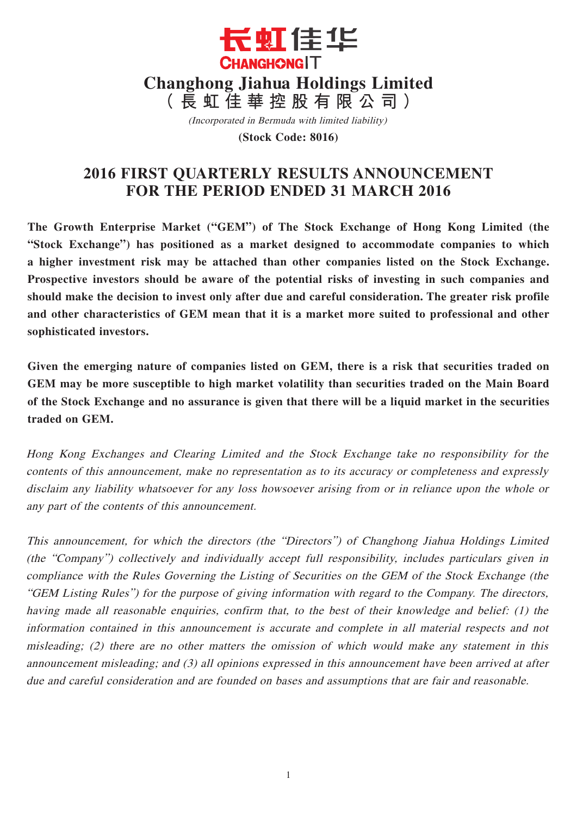

(Incorporated in Bermuda with limited liability)

**(Stock Code: 8016)**

# **2016 FIRST QUARTERLY RESULTS ANNOUNCEMENT FOR THE PERIOD ENDED 31 MARCH 2016**

**The Growth Enterprise Market ("GEM") of The Stock Exchange of Hong Kong Limited (the "Stock Exchange") has positioned as a market designed to accommodate companies to which a higher investment risk may be attached than other companies listed on the Stock Exchange. Prospective investors should be aware of the potential risks of investing in such companies and should make the decision to invest only after due and careful consideration. The greater risk profile and other characteristics of GEM mean that it is a market more suited to professional and other sophisticated investors.**

**Given the emerging nature of companies listed on GEM, there is a risk that securities traded on GEM may be more susceptible to high market volatility than securities traded on the Main Board of the Stock Exchange and no assurance is given that there will be a liquid market in the securities traded on GEM.**

Hong Kong Exchanges and Clearing Limited and the Stock Exchange take no responsibility for the contents of this announcement, make no representation as to its accuracy or completeness and expressly disclaim any liability whatsoever for any loss howsoever arising from or in reliance upon the whole or any part of the contents of this announcement.

This announcement, for which the directors (the "Directors") of Changhong Jiahua Holdings Limited (the "Company") collectively and individually accept full responsibility, includes particulars given in compliance with the Rules Governing the Listing of Securities on the GEM of the Stock Exchange (the "GEM Listing Rules") for the purpose of giving information with regard to the Company. The directors, having made all reasonable enquiries, confirm that, to the best of their knowledge and belief: (1) the information contained in this announcement is accurate and complete in all material respects and not misleading; (2) there are no other matters the omission of which would make any statement in this announcement misleading; and (3) all opinions expressed in this announcement have been arrived at after due and careful consideration and are founded on bases and assumptions that are fair and reasonable.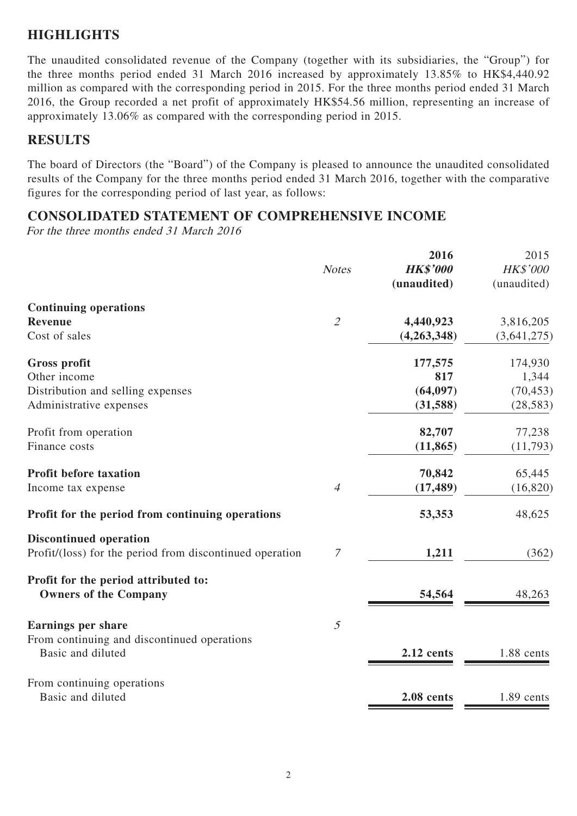## **HIGHLIGHTS**

The unaudited consolidated revenue of the Company (together with its subsidiaries, the "Group") for the three months period ended 31 March 2016 increased by approximately 13.85% to HK\$4,440.92 million as compared with the corresponding period in 2015. For the three months period ended 31 March 2016, the Group recorded a net profit of approximately HK\$54.56 million, representing an increase of approximately 13.06% as compared with the corresponding period in 2015.

### **RESULTS**

The board of Directors (the "Board") of the Company is pleased to announce the unaudited consolidated results of the Company for the three months period ended 31 March 2016, together with the comparative figures for the corresponding period of last year, as follows:

### **CONSOLIDATED STATEMENT OF COMPREHENSIVE INCOME**

For the three months ended 31 March 2016

|                                                                      |                | 2016            | 2015            |
|----------------------------------------------------------------------|----------------|-----------------|-----------------|
|                                                                      | <b>Notes</b>   | <b>HK\$'000</b> | <b>HK\$'000</b> |
|                                                                      |                | (unaudited)     | (unaudited)     |
| <b>Continuing operations</b>                                         |                |                 |                 |
| <b>Revenue</b>                                                       | $\overline{2}$ | 4,440,923       | 3,816,205       |
| Cost of sales                                                        |                | (4,263,348)     | (3,641,275)     |
| <b>Gross profit</b>                                                  |                | 177,575         | 174,930         |
| Other income                                                         |                | 817             | 1,344           |
| Distribution and selling expenses                                    |                | (64, 097)       | (70, 453)       |
| Administrative expenses                                              |                | (31,588)        | (28, 583)       |
| Profit from operation                                                |                | 82,707          | 77,238          |
| Finance costs                                                        |                | (11, 865)       | (11, 793)       |
| <b>Profit before taxation</b>                                        |                | 70,842          | 65,445          |
| Income tax expense                                                   | $\overline{4}$ | (17, 489)       | (16, 820)       |
| Profit for the period from continuing operations                     |                | 53,353          | 48,625          |
| <b>Discontinued operation</b>                                        |                |                 |                 |
| Profit/(loss) for the period from discontinued operation             | 7              | 1,211           | (362)           |
| Profit for the period attributed to:<br><b>Owners of the Company</b> |                | 54,564          | 48,263          |
|                                                                      |                |                 |                 |
| <b>Earnings per share</b>                                            | 5              |                 |                 |
| From continuing and discontinued operations<br>Basic and diluted     |                | 2.12 cents      | 1.88 cents      |
| From continuing operations                                           |                |                 |                 |
| Basic and diluted                                                    |                | 2.08 cents      | 1.89 cents      |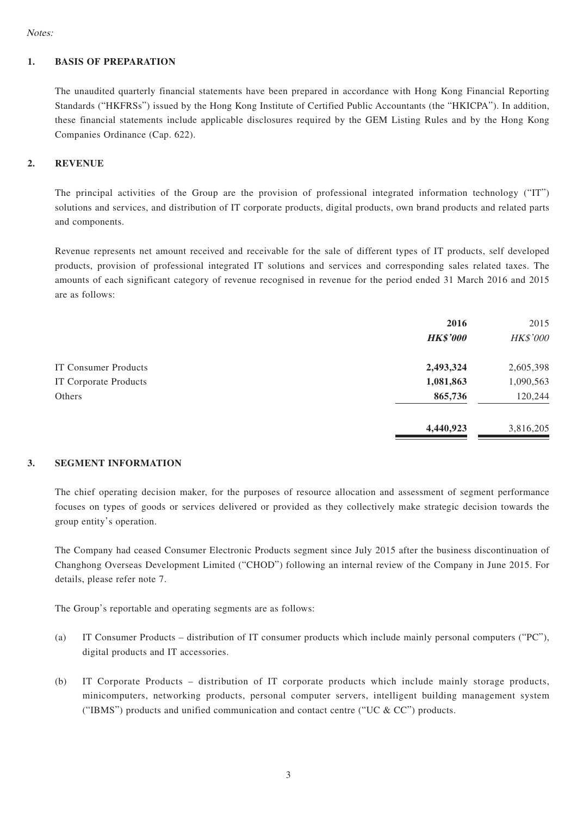#### Notes:

#### **1. BASIS OF PREPARATION**

The unaudited quarterly financial statements have been prepared in accordance with Hong Kong Financial Reporting Standards ("HKFRSs") issued by the Hong Kong Institute of Certified Public Accountants (the "HKICPA"). In addition, these financial statements include applicable disclosures required by the GEM Listing Rules and by the Hong Kong Companies Ordinance (Cap. 622).

#### **2. REVENUE**

The principal activities of the Group are the provision of professional integrated information technology ("IT") solutions and services, and distribution of IT corporate products, digital products, own brand products and related parts and components.

Revenue represents net amount received and receivable for the sale of different types of IT products, self developed products, provision of professional integrated IT solutions and services and corresponding sales related taxes. The amounts of each significant category of revenue recognised in revenue for the period ended 31 March 2016 and 2015 are as follows:

|                              | 2016            | 2015      |
|------------------------------|-----------------|-----------|
|                              | <b>HK\$'000</b> | HK\$'000  |
| <b>IT Consumer Products</b>  | 2,493,324       | 2,605,398 |
| <b>IT Corporate Products</b> | 1,081,863       | 1,090,563 |
| Others                       | 865,736         | 120,244   |
|                              | 4,440,923       | 3,816,205 |

#### **3. SEGMENT INFORMATION**

The chief operating decision maker, for the purposes of resource allocation and assessment of segment performance focuses on types of goods or services delivered or provided as they collectively make strategic decision towards the group entity's operation.

The Company had ceased Consumer Electronic Products segment since July 2015 after the business discontinuation of Changhong Overseas Development Limited ("CHOD") following an internal review of the Company in June 2015. For details, please refer note 7.

The Group's reportable and operating segments are as follows:

- (a) IT Consumer Products distribution of IT consumer products which include mainly personal computers ("PC"), digital products and IT accessories.
- (b) IT Corporate Products distribution of IT corporate products which include mainly storage products, minicomputers, networking products, personal computer servers, intelligent building management system ("IBMS") products and unified communication and contact centre ("UC  $&$  CC") products.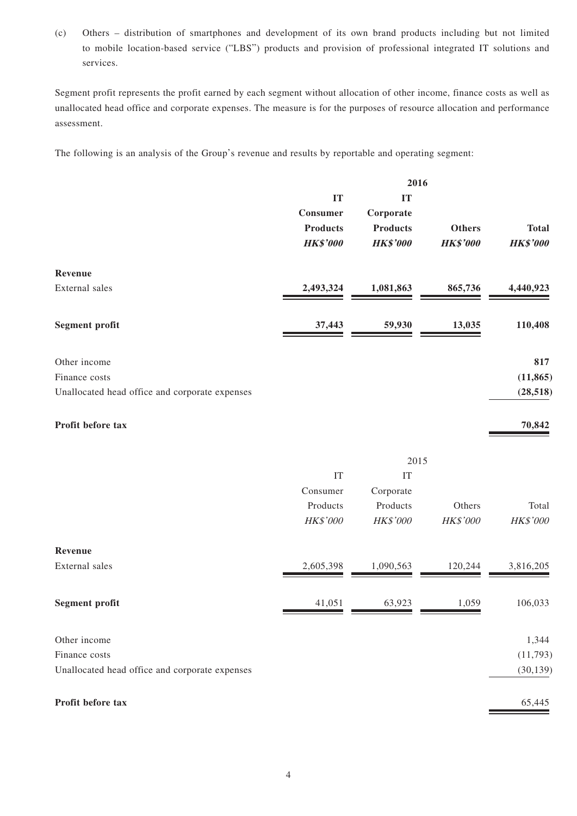(c) Others – distribution of smartphones and development of its own brand products including but not limited to mobile location-based service ("LBS") products and provision of professional integrated IT solutions and services.

Segment profit represents the profit earned by each segment without allocation of other income, finance costs as well as unallocated head office and corporate expenses. The measure is for the purposes of resource allocation and performance assessment.

The following is an analysis of the Group's revenue and results by reportable and operating segment:

| IT<br>IT<br>Consumer<br>Corporate<br><b>Products</b><br><b>Products</b><br><b>Others</b><br><b>HK\$'000</b><br><b>HK\$'000</b><br><b>HK\$'000</b><br><b>HK\$'000</b><br>Revenue<br>External sales<br>1,081,863<br>865,736<br>2,493,324 | <b>Total</b> |
|----------------------------------------------------------------------------------------------------------------------------------------------------------------------------------------------------------------------------------------|--------------|
|                                                                                                                                                                                                                                        |              |
|                                                                                                                                                                                                                                        |              |
|                                                                                                                                                                                                                                        |              |
|                                                                                                                                                                                                                                        |              |
|                                                                                                                                                                                                                                        |              |
|                                                                                                                                                                                                                                        | 4,440,923    |
|                                                                                                                                                                                                                                        |              |
| <b>Segment profit</b><br>59,930<br>37,443<br>13,035                                                                                                                                                                                    | 110,408      |
|                                                                                                                                                                                                                                        |              |
| Other income                                                                                                                                                                                                                           | 817          |
| Finance costs                                                                                                                                                                                                                          | (11, 865)    |
| Unallocated head office and corporate expenses                                                                                                                                                                                         | (28, 518)    |
|                                                                                                                                                                                                                                        |              |
| Profit before tax                                                                                                                                                                                                                      | 70,842       |
|                                                                                                                                                                                                                                        |              |
| 2015                                                                                                                                                                                                                                   |              |
| IT<br>IT                                                                                                                                                                                                                               |              |
| Consumer<br>Corporate                                                                                                                                                                                                                  |              |
| Products<br>Products<br>Others                                                                                                                                                                                                         | Total        |
| HK\$'000<br>HK\$'000<br>HK\$'000                                                                                                                                                                                                       | HK\$'000     |
| Revenue                                                                                                                                                                                                                                |              |
| External sales<br>120,244<br>2,605,398<br>1,090,563                                                                                                                                                                                    | 3,816,205    |
|                                                                                                                                                                                                                                        |              |
| 41,051<br>63,923<br>1,059<br><b>Segment profit</b>                                                                                                                                                                                     | 106,033      |

| 1.344 |
|-------|
|       |

Finance costs (11,793)

Unallocated head office and corporate expenses (30,139)

#### **Profit before tax** 65,445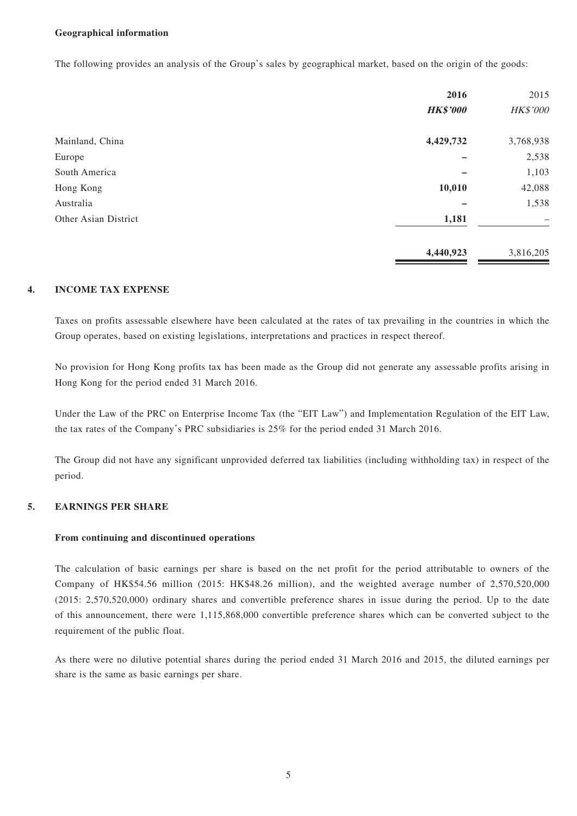#### **Geographical information**

The following provides an analysis of the Group's sales by geographical market, based on the origin of the goods:

|                      | 2016            | 2015      |
|----------------------|-----------------|-----------|
|                      | <b>HK\$'000</b> | HK\$'000  |
| Mainland, China      | 4,429,732       | 3,768,938 |
| Europe               |                 | 2,538     |
| South America        |                 | 1,103     |
| Hong Kong            | 10,010          | 42,088    |
| Australia            |                 | 1,538     |
| Other Asian District | 1,181           |           |
|                      | 4,440,923       | 3,816,205 |

#### **4. INCOME TAX EXPENSE**

Taxes on profits assessable elsewhere have been calculated at the rates of tax prevailing in the countries in which the Group operates, based on existing legislations, interpretations and practices in respect thereof.

No provision for Hong Kong profits tax has been made as the Group did not generate any assessable profits arising in Hong Kong for the period ended 31 March 2016.

Under the Law of the PRC on Enterprise Income Tax (the "EIT Law") and Implementation Regulation of the EIT Law, the tax rates of the Company's PRC subsidiaries is 25% for the period ended 31 March 2016.

The Group did not have any significant unprovided deferred tax liabilities (including withholding tax) in respect of the period.

#### **5. EARNINGS PER SHARE**

#### **From continuing and discontinued operations**

The calculation of basic earnings per share is based on the net profit for the period attributable to owners of the Company of HK\$54.56 million (2015: HK\$48.26 million), and the weighted average number of 2,570,520,000 (2015: 2,570,520,000) ordinary shares and convertible preference shares in issue during the period. Up to the date of this announcement, there were 1,115,868,000 convertible preference shares which can be converted subject to the requirement of the public float.

As there were no dilutive potential shares during the period ended 31 March 2016 and 2015, the diluted earnings per share is the same as basic earnings per share.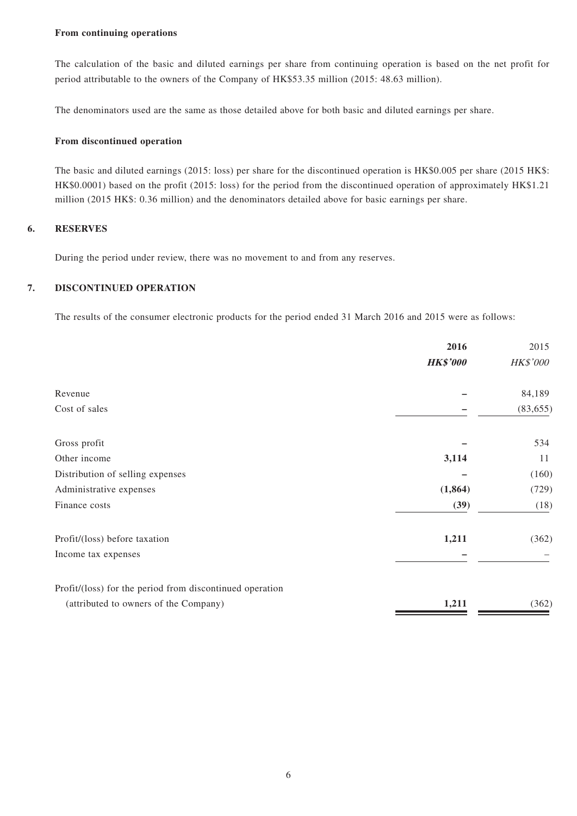The calculation of the basic and diluted earnings per share from continuing operation is based on the net profit for period attributable to the owners of the Company of HK\$53.35 million (2015: 48.63 million).

The denominators used are the same as those detailed above for both basic and diluted earnings per share.

#### **From discontinued operation**

The basic and diluted earnings (2015: loss) per share for the discontinued operation is HK\$0.005 per share (2015 HK\$: HK\$0.0001) based on the profit (2015: loss) for the period from the discontinued operation of approximately HK\$1.21 million (2015 HK\$: 0.36 million) and the denominators detailed above for basic earnings per share.

#### **6. RESERVES**

During the period under review, there was no movement to and from any reserves.

#### **7. DISCONTINUED OPERATION**

The results of the consumer electronic products for the period ended 31 March 2016 and 2015 were as follows:

|                                                          | 2016            | 2015            |
|----------------------------------------------------------|-----------------|-----------------|
|                                                          | <b>HK\$'000</b> | <b>HK\$'000</b> |
| Revenue                                                  |                 | 84,189          |
| Cost of sales                                            |                 | (83, 655)       |
| Gross profit                                             |                 | 534             |
| Other income                                             | 3,114           | 11              |
| Distribution of selling expenses                         |                 | (160)           |
| Administrative expenses                                  | (1, 864)        | (729)           |
| Finance costs                                            | (39)            | (18)            |
| Profit/(loss) before taxation                            | 1,211           | (362)           |
| Income tax expenses                                      |                 |                 |
| Profit/(loss) for the period from discontinued operation |                 |                 |
| (attributed to owners of the Company)                    | 1,211           | (362)           |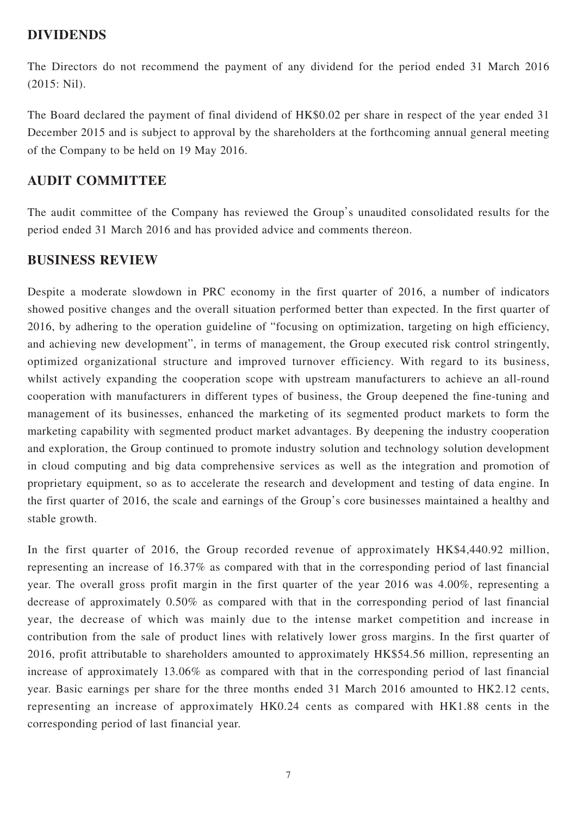### **DIVIDENDS**

The Directors do not recommend the payment of any dividend for the period ended 31 March 2016 (2015: Nil).

The Board declared the payment of final dividend of HK\$0.02 per share in respect of the year ended 31 December 2015 and is subject to approval by the shareholders at the forthcoming annual general meeting of the Company to be held on 19 May 2016.

### **AUDIT COMMITTEE**

The audit committee of the Company has reviewed the Group's unaudited consolidated results for the period ended 31 March 2016 and has provided advice and comments thereon.

### **BUSINESS REVIEW**

Despite a moderate slowdown in PRC economy in the first quarter of 2016, a number of indicators showed positive changes and the overall situation performed better than expected. In the first quarter of 2016, by adhering to the operation guideline of "focusing on optimization, targeting on high efficiency, and achieving new development", in terms of management, the Group executed risk control stringently, optimized organizational structure and improved turnover efficiency. With regard to its business, whilst actively expanding the cooperation scope with upstream manufacturers to achieve an all-round cooperation with manufacturers in different types of business, the Group deepened the fine-tuning and management of its businesses, enhanced the marketing of its segmented product markets to form the marketing capability with segmented product market advantages. By deepening the industry cooperation and exploration, the Group continued to promote industry solution and technology solution development in cloud computing and big data comprehensive services as well as the integration and promotion of proprietary equipment, so as to accelerate the research and development and testing of data engine. In the first quarter of 2016, the scale and earnings of the Group's core businesses maintained a healthy and stable growth.

In the first quarter of 2016, the Group recorded revenue of approximately HK\$4,440.92 million, representing an increase of 16.37% as compared with that in the corresponding period of last financial year. The overall gross profit margin in the first quarter of the year 2016 was 4.00%, representing a decrease of approximately 0.50% as compared with that in the corresponding period of last financial year, the decrease of which was mainly due to the intense market competition and increase in contribution from the sale of product lines with relatively lower gross margins. In the first quarter of 2016, profit attributable to shareholders amounted to approximately HK\$54.56 million, representing an increase of approximately 13.06% as compared with that in the corresponding period of last financial year. Basic earnings per share for the three months ended 31 March 2016 amounted to HK2.12 cents, representing an increase of approximately HK0.24 cents as compared with HK1.88 cents in the corresponding period of last financial year.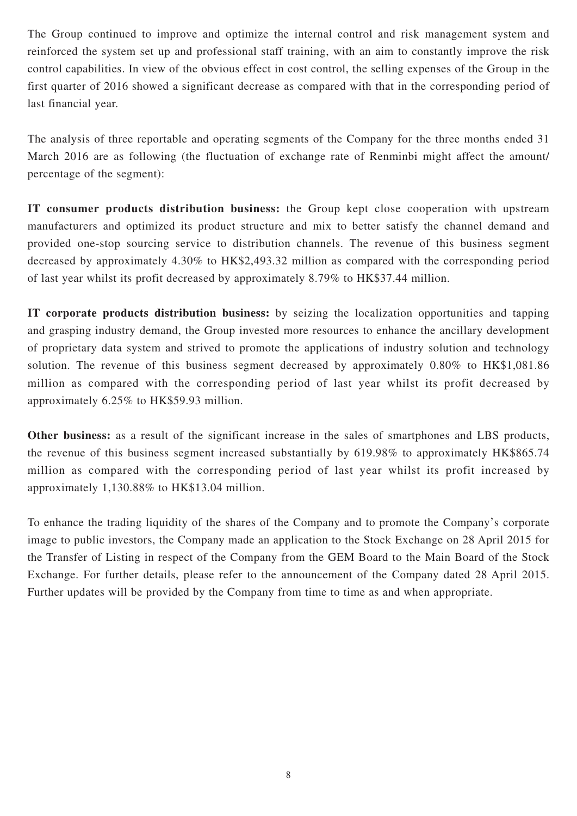The Group continued to improve and optimize the internal control and risk management system and reinforced the system set up and professional staff training, with an aim to constantly improve the risk control capabilities. In view of the obvious effect in cost control, the selling expenses of the Group in the first quarter of 2016 showed a significant decrease as compared with that in the corresponding period of last financial year.

The analysis of three reportable and operating segments of the Company for the three months ended 31 March 2016 are as following (the fluctuation of exchange rate of Renminbi might affect the amount/ percentage of the segment):

**IT consumer products distribution business:** the Group kept close cooperation with upstream manufacturers and optimized its product structure and mix to better satisfy the channel demand and provided one-stop sourcing service to distribution channels. The revenue of this business segment decreased by approximately 4.30% to HK\$2,493.32 million as compared with the corresponding period of last year whilst its profit decreased by approximately 8.79% to HK\$37.44 million.

**IT corporate products distribution business:** by seizing the localization opportunities and tapping and grasping industry demand, the Group invested more resources to enhance the ancillary development of proprietary data system and strived to promote the applications of industry solution and technology solution. The revenue of this business segment decreased by approximately 0.80% to HK\$1,081.86 million as compared with the corresponding period of last year whilst its profit decreased by approximately 6.25% to HK\$59.93 million.

**Other business:** as a result of the significant increase in the sales of smartphones and LBS products, the revenue of this business segment increased substantially by 619.98% to approximately HK\$865.74 million as compared with the corresponding period of last year whilst its profit increased by approximately 1,130.88% to HK\$13.04 million.

To enhance the trading liquidity of the shares of the Company and to promote the Company's corporate image to public investors, the Company made an application to the Stock Exchange on 28 April 2015 for the Transfer of Listing in respect of the Company from the GEM Board to the Main Board of the Stock Exchange. For further details, please refer to the announcement of the Company dated 28 April 2015. Further updates will be provided by the Company from time to time as and when appropriate.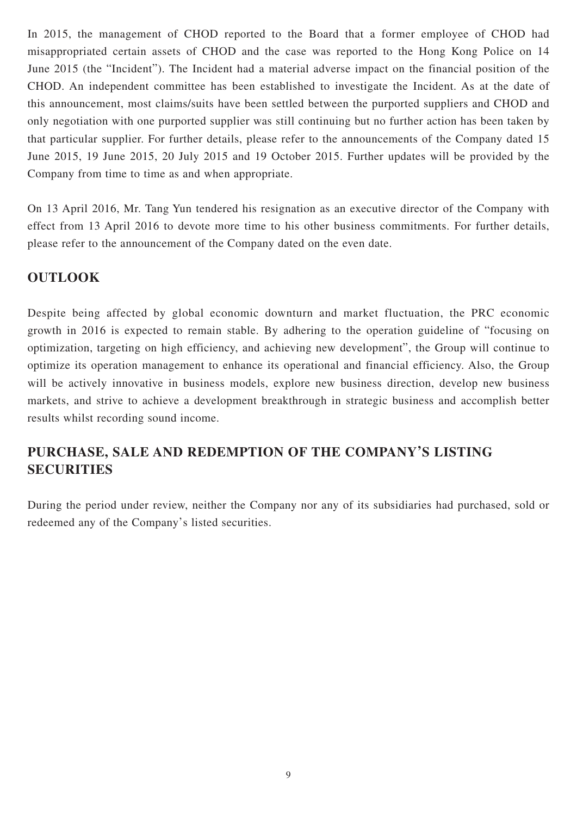In 2015, the management of CHOD reported to the Board that a former employee of CHOD had misappropriated certain assets of CHOD and the case was reported to the Hong Kong Police on 14 June 2015 (the "Incident"). The Incident had a material adverse impact on the financial position of the CHOD. An independent committee has been established to investigate the Incident. As at the date of this announcement, most claims/suits have been settled between the purported suppliers and CHOD and only negotiation with one purported supplier was still continuing but no further action has been taken by that particular supplier. For further details, please refer to the announcements of the Company dated 15 June 2015, 19 June 2015, 20 July 2015 and 19 October 2015. Further updates will be provided by the Company from time to time as and when appropriate.

On 13 April 2016, Mr. Tang Yun tendered his resignation as an executive director of the Company with effect from 13 April 2016 to devote more time to his other business commitments. For further details, please refer to the announcement of the Company dated on the even date.

## **OUTLOOK**

Despite being affected by global economic downturn and market fluctuation, the PRC economic growth in 2016 is expected to remain stable. By adhering to the operation guideline of "focusing on optimization, targeting on high efficiency, and achieving new development", the Group will continue to optimize its operation management to enhance its operational and financial efficiency. Also, the Group will be actively innovative in business models, explore new business direction, develop new business markets, and strive to achieve a development breakthrough in strategic business and accomplish better results whilst recording sound income.

# **PURCHASE, SALE AND REDEMPTION OF THE COMPANY'S LISTING SECURITIES**

During the period under review, neither the Company nor any of its subsidiaries had purchased, sold or redeemed any of the Company's listed securities.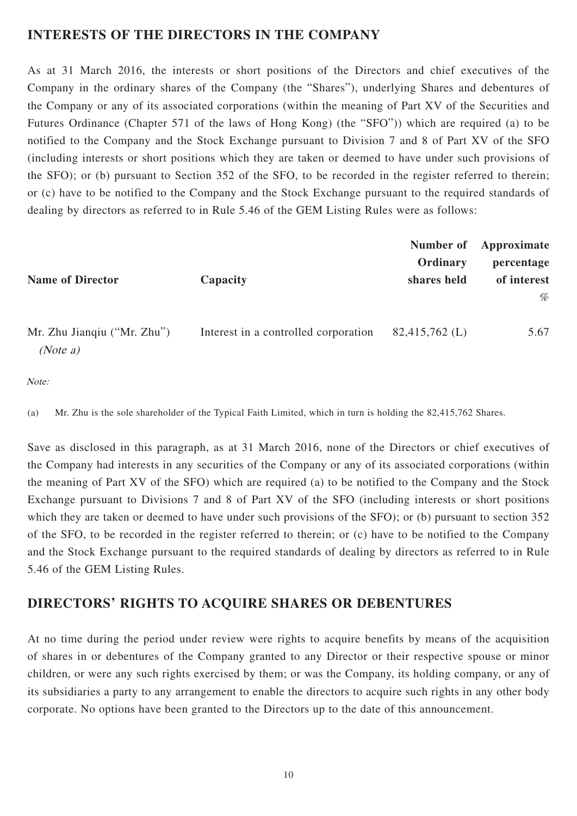## **INTERESTS OF THE DIRECTORS IN THE COMPANY**

As at 31 March 2016, the interests or short positions of the Directors and chief executives of the Company in the ordinary shares of the Company (the "Shares"), underlying Shares and debentures of the Company or any of its associated corporations (within the meaning of Part XV of the Securities and Futures Ordinance (Chapter 571 of the laws of Hong Kong) (the "SFO")) which are required (a) to be notified to the Company and the Stock Exchange pursuant to Division 7 and 8 of Part XV of the SFO (including interests or short positions which they are taken or deemed to have under such provisions of the SFO); or (b) pursuant to Section 352 of the SFO, to be recorded in the register referred to therein; or (c) have to be notified to the Company and the Stock Exchange pursuant to the required standards of dealing by directors as referred to in Rule 5.46 of the GEM Listing Rules were as follows:

|                                         |                                      | Ordinary            | <b>Number of Approximate</b><br>percentage |
|-----------------------------------------|--------------------------------------|---------------------|--------------------------------------------|
| <b>Name of Director</b>                 | Capacity                             | shares held         | of interest                                |
|                                         |                                      |                     | %                                          |
| Mr. Zhu Jianqiu ("Mr. Zhu")<br>(Note a) | Interest in a controlled corporation | $82,415,762 \; (L)$ | 5.67                                       |

Note:

(a) Mr. Zhu is the sole shareholder of the Typical Faith Limited, which in turn is holding the 82,415,762 Shares.

Save as disclosed in this paragraph, as at 31 March 2016, none of the Directors or chief executives of the Company had interests in any securities of the Company or any of its associated corporations (within the meaning of Part XV of the SFO) which are required (a) to be notified to the Company and the Stock Exchange pursuant to Divisions 7 and 8 of Part XV of the SFO (including interests or short positions which they are taken or deemed to have under such provisions of the SFO); or (b) pursuant to section 352 of the SFO, to be recorded in the register referred to therein; or (c) have to be notified to the Company and the Stock Exchange pursuant to the required standards of dealing by directors as referred to in Rule 5.46 of the GEM Listing Rules.

### **DIRECTORS' RIGHTS TO ACQUIRE SHARES OR DEBENTURES**

At no time during the period under review were rights to acquire benefits by means of the acquisition of shares in or debentures of the Company granted to any Director or their respective spouse or minor children, or were any such rights exercised by them; or was the Company, its holding company, or any of its subsidiaries a party to any arrangement to enable the directors to acquire such rights in any other body corporate. No options have been granted to the Directors up to the date of this announcement.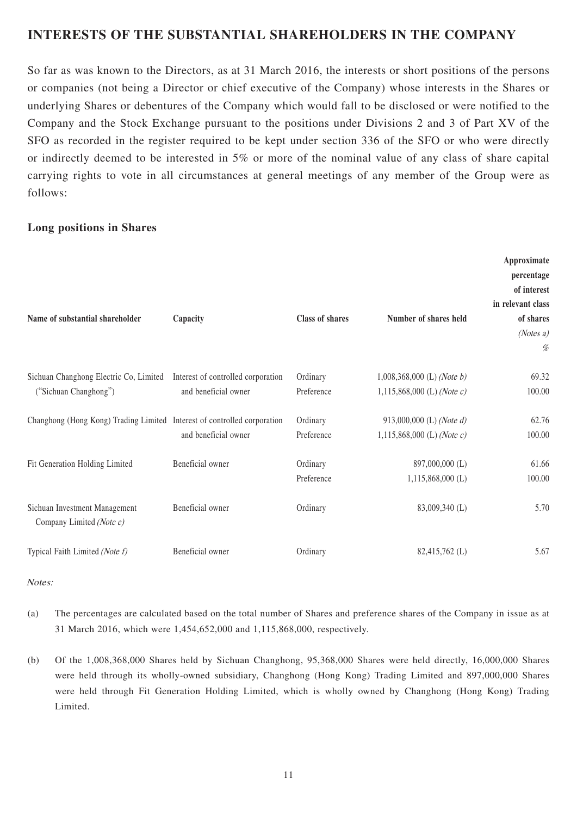## **INTERESTS OF THE SUBSTANTIAL SHAREHOLDERS IN THE COMPANY**

So far as was known to the Directors, as at 31 March 2016, the interests or short positions of the persons or companies (not being a Director or chief executive of the Company) whose interests in the Shares or underlying Shares or debentures of the Company which would fall to be disclosed or were notified to the Company and the Stock Exchange pursuant to the positions under Divisions 2 and 3 of Part XV of the SFO as recorded in the register required to be kept under section 336 of the SFO or who were directly or indirectly deemed to be interested in 5% or more of the nominal value of any class of share capital carrying rights to vote in all circumstances at general meetings of any member of the Group were as follows:

### **Long positions in Shares**

| Name of substantial shareholder                                          | Capacity                                                   | <b>Class of shares</b> | Number of shares held                                        | Approximate<br>percentage<br>of interest<br>in relevant class<br>of shares<br>(Notes a)<br>% |
|--------------------------------------------------------------------------|------------------------------------------------------------|------------------------|--------------------------------------------------------------|----------------------------------------------------------------------------------------------|
| Sichuan Changhong Electric Co, Limited<br>("Sichuan Changhong")          | Interest of controlled corporation<br>and beneficial owner | Ordinary<br>Preference | $1,008,368,000$ (L) (Note b)<br>$1,115,868,000$ (L) (Note c) | 69.32<br>100.00                                                                              |
| Changhong (Hong Kong) Trading Limited Interest of controlled corporation | and beneficial owner                                       | Ordinary<br>Preference | 913,000,000 (L) (Note d)<br>1,115,868,000 (L) (Note c)       | 62.76<br>100.00                                                                              |
| Fit Generation Holding Limited                                           | Beneficial owner                                           | Ordinary<br>Preference | 897,000,000 (L)<br>$1,115,868,000$ (L)                       | 61.66<br>100.00                                                                              |
| Sichuan Investment Management<br>Company Limited (Note e)                | Beneficial owner                                           | Ordinary               | 83,009,340 (L)                                               | 5.70                                                                                         |
| Typical Faith Limited (Note f)                                           | Beneficial owner                                           | Ordinary               | 82,415,762 (L)                                               | 5.67                                                                                         |

Notes:

- (a) The percentages are calculated based on the total number of Shares and preference shares of the Company in issue as at 31 March 2016, which were 1,454,652,000 and 1,115,868,000, respectively.
- (b) Of the 1,008,368,000 Shares held by Sichuan Changhong, 95,368,000 Shares were held directly, 16,000,000 Shares were held through its wholly-owned subsidiary, Changhong (Hong Kong) Trading Limited and 897,000,000 Shares were held through Fit Generation Holding Limited, which is wholly owned by Changhong (Hong Kong) Trading Limited.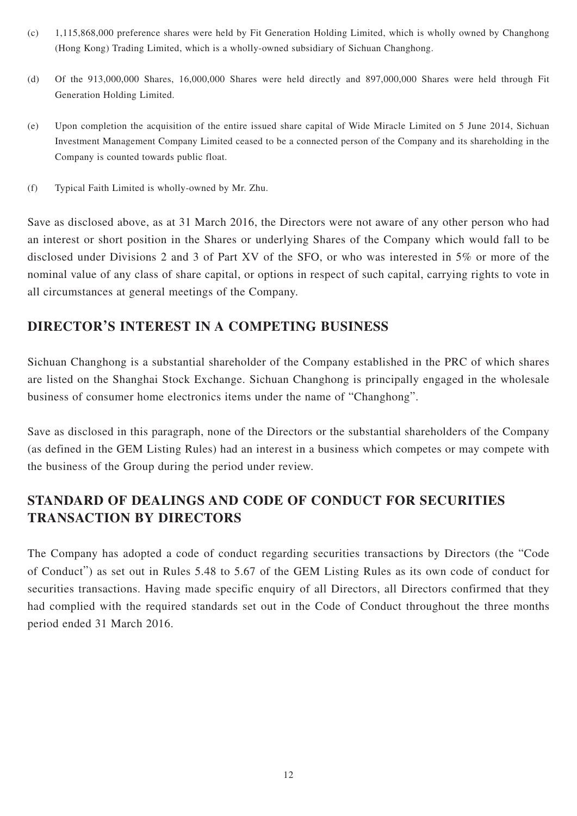- (c) 1,115,868,000 preference shares were held by Fit Generation Holding Limited, which is wholly owned by Changhong (Hong Kong) Trading Limited, which is a wholly-owned subsidiary of Sichuan Changhong.
- (d) Of the 913,000,000 Shares, 16,000,000 Shares were held directly and 897,000,000 Shares were held through Fit Generation Holding Limited.
- (e) Upon completion the acquisition of the entire issued share capital of Wide Miracle Limited on 5 June 2014, Sichuan Investment Management Company Limited ceased to be a connected person of the Company and its shareholding in the Company is counted towards public float.
- (f) Typical Faith Limited is wholly-owned by Mr. Zhu.

Save as disclosed above, as at 31 March 2016, the Directors were not aware of any other person who had an interest or short position in the Shares or underlying Shares of the Company which would fall to be disclosed under Divisions 2 and 3 of Part XV of the SFO, or who was interested in 5% or more of the nominal value of any class of share capital, or options in respect of such capital, carrying rights to vote in all circumstances at general meetings of the Company.

## **DIRECTOR'S INTEREST IN A COMPETING BUSINESS**

Sichuan Changhong is a substantial shareholder of the Company established in the PRC of which shares are listed on the Shanghai Stock Exchange. Sichuan Changhong is principally engaged in the wholesale business of consumer home electronics items under the name of "Changhong".

Save as disclosed in this paragraph, none of the Directors or the substantial shareholders of the Company (as defined in the GEM Listing Rules) had an interest in a business which competes or may compete with the business of the Group during the period under review.

# **STANDARD OF DEALINGS AND CODE OF CONDUCT FOR SECURITIES TRANSACTION BY DIRECTORS**

The Company has adopted a code of conduct regarding securities transactions by Directors (the "Code of Conduct") as set out in Rules 5.48 to 5.67 of the GEM Listing Rules as its own code of conduct for securities transactions. Having made specific enquiry of all Directors, all Directors confirmed that they had complied with the required standards set out in the Code of Conduct throughout the three months period ended 31 March 2016.